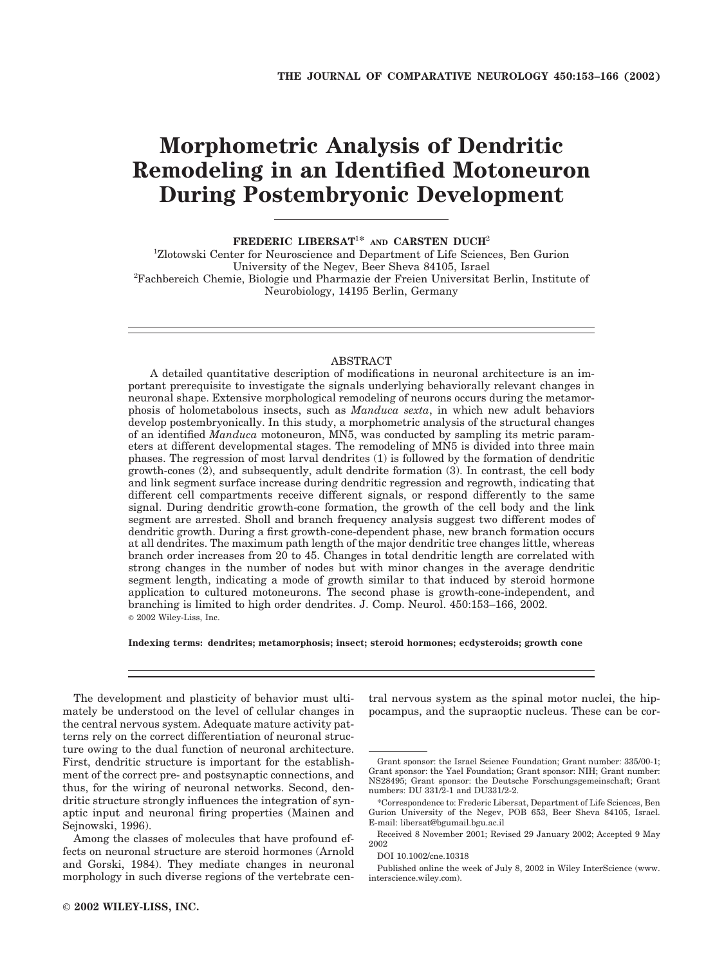# **Morphometric Analysis of Dendritic Remodeling in an Identified Motoneuron During Postembryonic Development**

**FREDERIC LIBERSAT**<sup>1</sup>**\* AND CARSTEN DUCH**<sup>2</sup>

<sup>1</sup>Zlotowski Center for Neuroscience and Department of Life Sciences, Ben Gurion University of the Negev, Beer Sheva 84105, Israel <sup>2</sup> Fachbereich Chemie, Biologie und Pharmazie der Freien Universitat Berlin, Institute of Neurobiology, 14195 Berlin, Germany

# ABSTRACT

A detailed quantitative description of modifications in neuronal architecture is an important prerequisite to investigate the signals underlying behaviorally relevant changes in neuronal shape. Extensive morphological remodeling of neurons occurs during the metamorphosis of holometabolous insects, such as *Manduca sexta*, in which new adult behaviors develop postembryonically. In this study, a morphometric analysis of the structural changes of an identified *Manduca* motoneuron, MN5, was conducted by sampling its metric parameters at different developmental stages. The remodeling of MN5 is divided into three main phases. The regression of most larval dendrites (1) is followed by the formation of dendritic growth-cones (2), and subsequently, adult dendrite formation (3). In contrast, the cell body and link segment surface increase during dendritic regression and regrowth, indicating that different cell compartments receive different signals, or respond differently to the same signal. During dendritic growth-cone formation, the growth of the cell body and the link segment are arrested. Sholl and branch frequency analysis suggest two different modes of dendritic growth. During a first growth-cone-dependent phase, new branch formation occurs at all dendrites. The maximum path length of the major dendritic tree changes little, whereas branch order increases from 20 to 45. Changes in total dendritic length are correlated with strong changes in the number of nodes but with minor changes in the average dendritic segment length, indicating a mode of growth similar to that induced by steroid hormone application to cultured motoneurons. The second phase is growth-cone-independent, and branching is limited to high order dendrites. J. Comp. Neurol. 450:153–166, 2002. © 2002 Wiley-Liss, Inc.

**Indexing terms: dendrites; metamorphosis; insect; steroid hormones; ecdysteroids; growth cone**

The development and plasticity of behavior must ultimately be understood on the level of cellular changes in the central nervous system. Adequate mature activity patterns rely on the correct differentiation of neuronal structure owing to the dual function of neuronal architecture. First, dendritic structure is important for the establishment of the correct pre- and postsynaptic connections, and thus, for the wiring of neuronal networks. Second, dendritic structure strongly influences the integration of synaptic input and neuronal firing properties (Mainen and Sejnowski, 1996).

Among the classes of molecules that have profound effects on neuronal structure are steroid hormones (Arnold and Gorski, 1984). They mediate changes in neuronal morphology in such diverse regions of the vertebrate central nervous system as the spinal motor nuclei, the hippocampus, and the supraoptic nucleus. These can be cor-

Grant sponsor: the Israel Science Foundation; Grant number: 335/00-1; Grant sponsor: the Yael Foundation; Grant sponsor: NIH; Grant number: NS28495; Grant sponsor: the Deutsche Forschungsgemeinschaft; Grant numbers: DU 331/2-1 and DU331/2-2.

<sup>\*</sup>Correspondence to: Frederic Libersat, Department of Life Sciences, Ben Gurion University of the Negev, POB 653, Beer Sheva 84105, Israel. E-mail: libersat@bgumail.bgu.ac.il

Received 8 November 2001; Revised 29 January 2002; Accepted 9 May 2002

DOI 10.1002/cne.10318

Published online the week of July 8, 2002 in Wiley InterScience (www. interscience.wiley.com).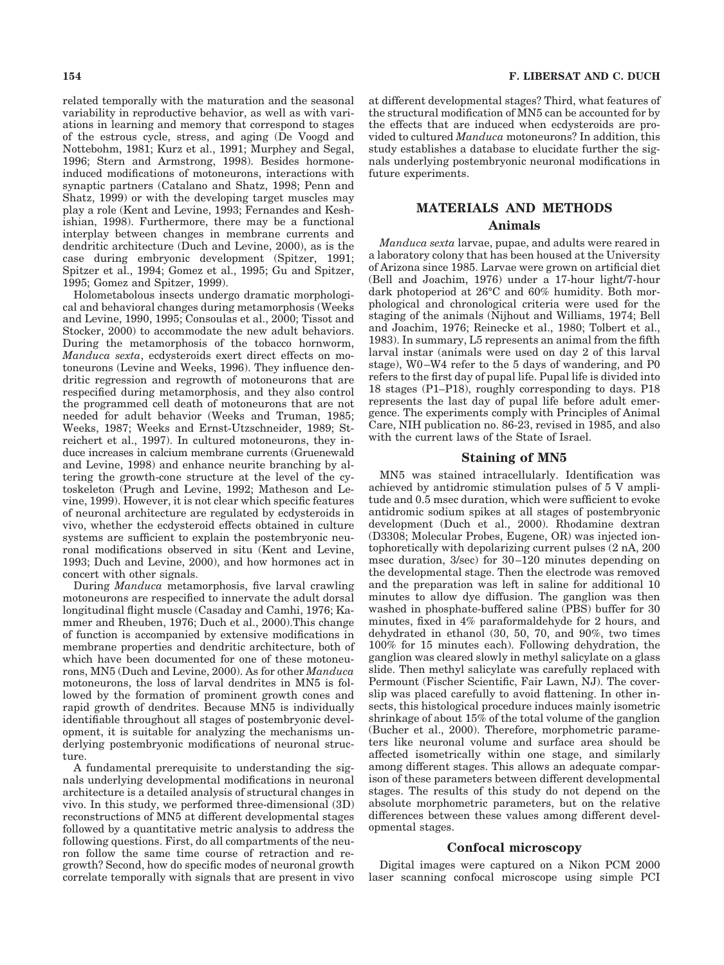related temporally with the maturation and the seasonal variability in reproductive behavior, as well as with variations in learning and memory that correspond to stages of the estrous cycle, stress, and aging (De Voogd and Nottebohm, 1981; Kurz et al., 1991; Murphey and Segal, 1996; Stern and Armstrong, 1998). Besides hormoneinduced modifications of motoneurons, interactions with synaptic partners (Catalano and Shatz, 1998; Penn and Shatz, 1999) or with the developing target muscles may play a role (Kent and Levine, 1993; Fernandes and Keshishian, 1998). Furthermore, there may be a functional interplay between changes in membrane currents and dendritic architecture (Duch and Levine, 2000), as is the case during embryonic development (Spitzer, 1991; Spitzer et al., 1994; Gomez et al., 1995; Gu and Spitzer, 1995; Gomez and Spitzer, 1999).

Holometabolous insects undergo dramatic morphological and behavioral changes during metamorphosis (Weeks and Levine, 1990, 1995; Consoulas et al., 2000; Tissot and Stocker, 2000) to accommodate the new adult behaviors. During the metamorphosis of the tobacco hornworm, *Manduca sexta*, ecdysteroids exert direct effects on motoneurons (Levine and Weeks, 1996). They influence dendritic regression and regrowth of motoneurons that are respecified during metamorphosis, and they also control the programmed cell death of motoneurons that are not needed for adult behavior (Weeks and Truman, 1985; Weeks, 1987; Weeks and Ernst-Utzschneider, 1989; Streichert et al., 1997). In cultured motoneurons, they induce increases in calcium membrane currents (Gruenewald and Levine, 1998) and enhance neurite branching by altering the growth-cone structure at the level of the cytoskeleton (Prugh and Levine, 1992; Matheson and Levine, 1999). However, it is not clear which specific features of neuronal architecture are regulated by ecdysteroids in vivo, whether the ecdysteroid effects obtained in culture systems are sufficient to explain the postembryonic neuronal modifications observed in situ (Kent and Levine, 1993; Duch and Levine, 2000), and how hormones act in concert with other signals.

During *Manduca* metamorphosis, five larval crawling motoneurons are respecified to innervate the adult dorsal longitudinal flight muscle (Casaday and Camhi, 1976; Kammer and Rheuben, 1976; Duch et al., 2000).This change of function is accompanied by extensive modifications in membrane properties and dendritic architecture, both of which have been documented for one of these motoneurons, MN5 (Duch and Levine, 2000). As for other *Manduca* motoneurons, the loss of larval dendrites in MN5 is followed by the formation of prominent growth cones and rapid growth of dendrites. Because MN5 is individually identifiable throughout all stages of postembryonic development, it is suitable for analyzing the mechanisms underlying postembryonic modifications of neuronal structure.

A fundamental prerequisite to understanding the signals underlying developmental modifications in neuronal architecture is a detailed analysis of structural changes in vivo. In this study, we performed three-dimensional (3D) reconstructions of MN5 at different developmental stages followed by a quantitative metric analysis to address the following questions. First, do all compartments of the neuron follow the same time course of retraction and regrowth? Second, how do specific modes of neuronal growth correlate temporally with signals that are present in vivo at different developmental stages? Third, what features of the structural modification of MN5 can be accounted for by the effects that are induced when ecdysteroids are provided to cultured *Manduca* motoneurons? In addition, this study establishes a database to elucidate further the signals underlying postembryonic neuronal modifications in future experiments.

# **MATERIALS AND METHODS Animals**

*Manduca sexta* larvae, pupae, and adults were reared in a laboratory colony that has been housed at the University of Arizona since 1985. Larvae were grown on artificial diet (Bell and Joachim, 1976) under a 17-hour light/7-hour dark photoperiod at 26°C and 60% humidity. Both morphological and chronological criteria were used for the staging of the animals (Nijhout and Williams, 1974; Bell and Joachim, 1976; Reinecke et al., 1980; Tolbert et al., 1983). In summary, L5 represents an animal from the fifth larval instar (animals were used on day 2 of this larval stage), W0–W4 refer to the 5 days of wandering, and P0 refers to the first day of pupal life. Pupal life is divided into 18 stages (P1–P18), roughly corresponding to days. P18 represents the last day of pupal life before adult emergence. The experiments comply with Principles of Animal Care, NIH publication no. 86-23, revised in 1985, and also with the current laws of the State of Israel.

#### **Staining of MN5**

MN5 was stained intracellularly. Identification was achieved by antidromic stimulation pulses of 5 V amplitude and 0.5 msec duration, which were sufficient to evoke antidromic sodium spikes at all stages of postembryonic development (Duch et al., 2000). Rhodamine dextran (D3308; Molecular Probes, Eugene, OR) was injected iontophoretically with depolarizing current pulses (2 nA, 200 msec duration, 3/sec) for 30–120 minutes depending on the developmental stage. Then the electrode was removed and the preparation was left in saline for additional 10 minutes to allow dye diffusion. The ganglion was then washed in phosphate-buffered saline (PBS) buffer for 30 minutes, fixed in 4% paraformaldehyde for 2 hours, and dehydrated in ethanol (30, 50, 70, and 90%, two times 100% for 15 minutes each). Following dehydration, the ganglion was cleared slowly in methyl salicylate on a glass slide. Then methyl salicylate was carefully replaced with Permount (Fischer Scientific, Fair Lawn, NJ). The coverslip was placed carefully to avoid flattening. In other insects, this histological procedure induces mainly isometric shrinkage of about 15% of the total volume of the ganglion (Bucher et al., 2000). Therefore, morphometric parameters like neuronal volume and surface area should be affected isometrically within one stage, and similarly among different stages. This allows an adequate comparison of these parameters between different developmental stages. The results of this study do not depend on the absolute morphometric parameters, but on the relative differences between these values among different developmental stages.

#### **Confocal microscopy**

Digital images were captured on a Nikon PCM 2000 laser scanning confocal microscope using simple PCI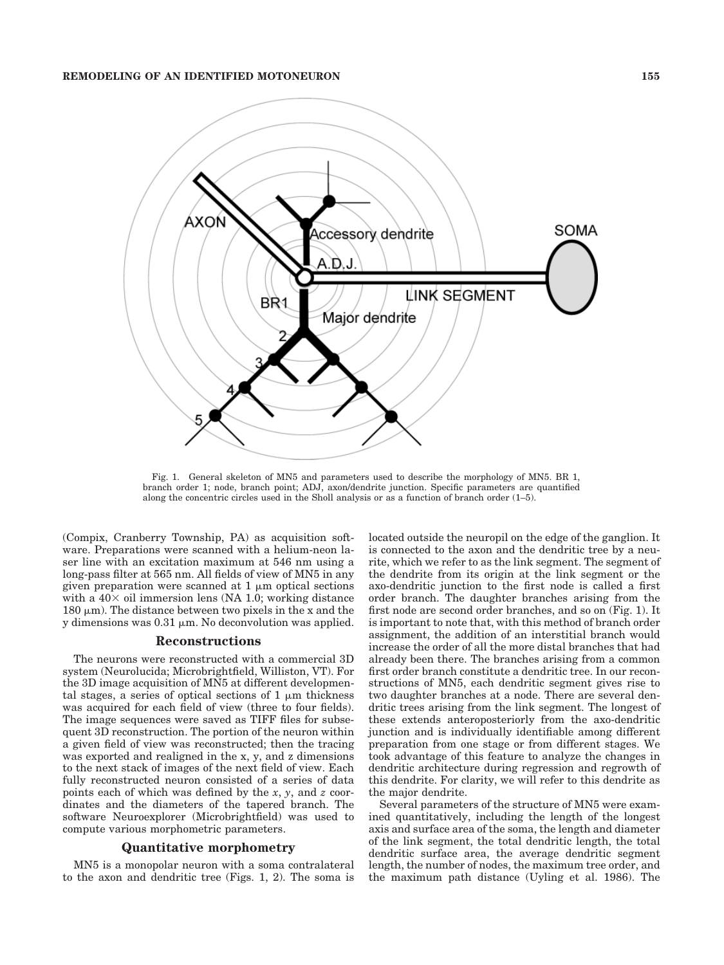

Fig. 1. General skeleton of MN5 and parameters used to describe the morphology of MN5. BR 1, branch order 1; node, branch point; ADJ, axon/dendrite junction. Specific parameters are quantified along the concentric circles used in the Sholl analysis or as a function of branch order (1–5).

(Compix, Cranberry Township, PA) as acquisition software. Preparations were scanned with a helium-neon laser line with an excitation maximum at 546 nm using a long-pass filter at 565 nm. All fields of view of MN5 in any given preparation were scanned at  $1 \mu m$  optical sections with a  $40\times$  oil immersion lens (NA 1.0; working distance 180  $\mu$ m). The distance between two pixels in the x and the y dimensions was  $0.31 \mu m$ . No deconvolution was applied.

#### **Reconstructions**

The neurons were reconstructed with a commercial 3D system (Neurolucida; Microbrightfield, Williston, VT). For the 3D image acquisition of MN5 at different developmental stages, a series of optical sections of  $1 \mu m$  thickness was acquired for each field of view (three to four fields). The image sequences were saved as TIFF files for subsequent 3D reconstruction. The portion of the neuron within a given field of view was reconstructed; then the tracing was exported and realigned in the x, y, and z dimensions to the next stack of images of the next field of view. Each fully reconstructed neuron consisted of a series of data points each of which was defined by the *x*, *y*, and *z* coordinates and the diameters of the tapered branch. The software Neuroexplorer (Microbrightfield) was used to compute various morphometric parameters.

#### **Quantitative morphometry**

MN5 is a monopolar neuron with a soma contralateral to the axon and dendritic tree (Figs. 1, 2). The soma is

located outside the neuropil on the edge of the ganglion. It is connected to the axon and the dendritic tree by a neurite, which we refer to as the link segment. The segment of the dendrite from its origin at the link segment or the axo-dendritic junction to the first node is called a first order branch. The daughter branches arising from the first node are second order branches, and so on (Fig. 1). It is important to note that, with this method of branch order assignment, the addition of an interstitial branch would increase the order of all the more distal branches that had already been there. The branches arising from a common first order branch constitute a dendritic tree. In our reconstructions of MN5, each dendritic segment gives rise to two daughter branches at a node. There are several dendritic trees arising from the link segment. The longest of these extends anteroposteriorly from the axo-dendritic junction and is individually identifiable among different preparation from one stage or from different stages. We took advantage of this feature to analyze the changes in dendritic architecture during regression and regrowth of this dendrite. For clarity, we will refer to this dendrite as the major dendrite.

Several parameters of the structure of MN5 were examined quantitatively, including the length of the longest axis and surface area of the soma, the length and diameter of the link segment, the total dendritic length, the total dendritic surface area, the average dendritic segment length, the number of nodes, the maximum tree order, and the maximum path distance (Uyling et al. 1986). The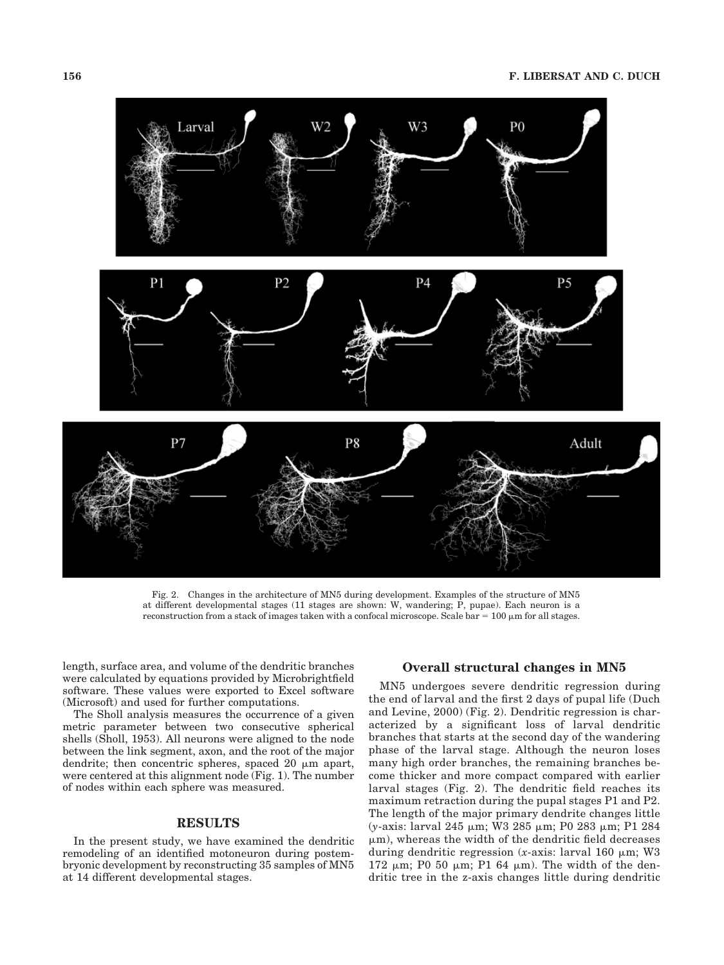

Fig. 2. Changes in the architecture of MN5 during development. Examples of the structure of MN5 at different developmental stages (11 stages are shown: W, wandering; P, pupae). Each neuron is a reconstruction from a stack of images taken with a confocal microscope. Scale bar =  $100 \,\mu$ m for all stages.

length, surface area, and volume of the dendritic branches were calculated by equations provided by Microbrightfield software. These values were exported to Excel software (Microsoft) and used for further computations.

The Sholl analysis measures the occurrence of a given metric parameter between two consecutive spherical shells (Sholl, 1953). All neurons were aligned to the node between the link segment, axon, and the root of the major dendrite; then concentric spheres, spaced 20  $\mu$ m apart, were centered at this alignment node (Fig. 1). The number of nodes within each sphere was measured.

### **RESULTS**

In the present study, we have examined the dendritic remodeling of an identified motoneuron during postembryonic development by reconstructing 35 samples of MN5 at 14 different developmental stages.

# **Overall structural changes in MN5**

MN5 undergoes severe dendritic regression during the end of larval and the first 2 days of pupal life (Duch and Levine, 2000) (Fig. 2). Dendritic regression is characterized by a significant loss of larval dendritic branches that starts at the second day of the wandering phase of the larval stage. Although the neuron loses many high order branches, the remaining branches become thicker and more compact compared with earlier larval stages (Fig. 2). The dendritic field reaches its maximum retraction during the pupal stages P1 and P2. The length of the major primary dendrite changes little (*y*-axis: larval 245 μm; W3 285 μm; P0 283 μm; P1 284  $\mu$ m), whereas the width of the dendritic field decreases during dendritic regression  $(x\text{-axis: } |arya|)$  160  $\mu$ m; W3 172  $\mu$ m; P0 50  $\mu$ m; P1 64  $\mu$ m). The width of the dendritic tree in the z-axis changes little during dendritic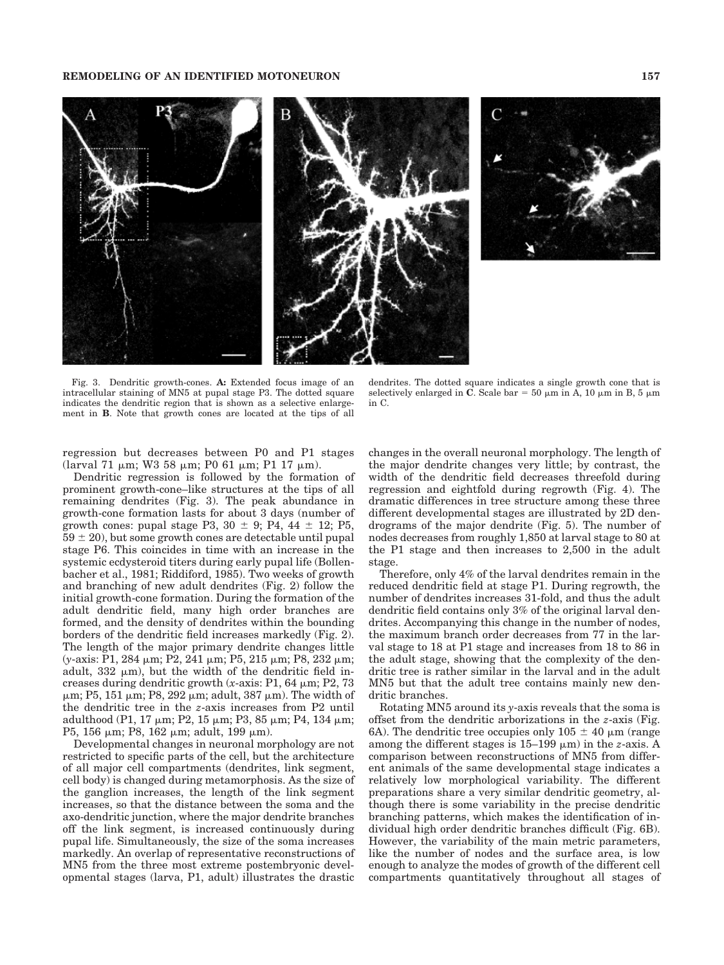

Fig. 3. Dendritic growth-cones. **A:** Extended focus image of an intracellular staining of MN5 at pupal stage P3. The dotted square indicates the dendritic region that is shown as a selective enlargement in **B**. Note that growth cones are located at the tips of all

dendrites. The dotted square indicates a single growth cone that is selectively enlarged in  $\overrightarrow{C}$ . Scale bar = 50  $\mu$ m in A, 10  $\mu$ m in B, 5  $\mu$ m in C.

regression but decreases between P0 and P1 stages (larval 71  $\mu$ m; W3 58  $\mu$ m; P0 61  $\mu$ m; P1 17  $\mu$ m).

Dendritic regression is followed by the formation of prominent growth-cone–like structures at the tips of all remaining dendrites (Fig. 3). The peak abundance in growth-cone formation lasts for about 3 days (number of growth cones: pupal stage P3,  $30 \pm 9$ ; P4,  $44 \pm 12$ ; P5,  $59 \pm 20$ , but some growth cones are detectable until pupal stage P6. This coincides in time with an increase in the systemic ecdysteroid titers during early pupal life (Bollenbacher et al., 1981; Riddiford, 1985). Two weeks of growth and branching of new adult dendrites (Fig. 2) follow the initial growth-cone formation. During the formation of the adult dendritic field, many high order branches are formed, and the density of dendrites within the bounding borders of the dendritic field increases markedly (Fig. 2). The length of the major primary dendrite changes little (*y*-axis: P1, 284 μm; P2, 241 μm; P5, 215 μm; P8, 232 μm; adult,  $332 \mu m$ ), but the width of the dendritic field increases during dendritic growth (*x*-axis: P1, 64  $\mu$ m; P2, 73  $\mu$ m; P5, 151  $\mu$ m; P8, 292  $\mu$ m; adult, 387  $\mu$ m). The width of the dendritic tree in the *z*-axis increases from P2 until adulthood (P1, 17  $\mu$ m; P2, 15  $\mu$ m; P3, 85  $\mu$ m; P4, 134  $\mu$ m; P5, 156  $\mu$ m; P8, 162  $\mu$ m; adult, 199  $\mu$ m).

Developmental changes in neuronal morphology are not restricted to specific parts of the cell, but the architecture of all major cell compartments (dendrites, link segment, cell body) is changed during metamorphosis. As the size of the ganglion increases, the length of the link segment increases, so that the distance between the soma and the axo-dendritic junction, where the major dendrite branches off the link segment, is increased continuously during pupal life. Simultaneously, the size of the soma increases markedly. An overlap of representative reconstructions of MN5 from the three most extreme postembryonic developmental stages (larva, P1, adult) illustrates the drastic

changes in the overall neuronal morphology. The length of the major dendrite changes very little; by contrast, the width of the dendritic field decreases threefold during regression and eightfold during regrowth (Fig. 4). The dramatic differences in tree structure among these three different developmental stages are illustrated by 2D dendrograms of the major dendrite (Fig. 5). The number of nodes decreases from roughly 1,850 at larval stage to 80 at the P1 stage and then increases to 2,500 in the adult stage.

Therefore, only 4% of the larval dendrites remain in the reduced dendritic field at stage P1. During regrowth, the number of dendrites increases 31-fold, and thus the adult dendritic field contains only 3% of the original larval dendrites. Accompanying this change in the number of nodes, the maximum branch order decreases from 77 in the larval stage to 18 at P1 stage and increases from 18 to 86 in the adult stage, showing that the complexity of the dendritic tree is rather similar in the larval and in the adult MN5 but that the adult tree contains mainly new dendritic branches.

Rotating MN5 around its *y*-axis reveals that the soma is offset from the dendritic arborizations in the *z*-axis (Fig. 6A). The dendritic tree occupies only  $105 \pm 40 \mu m$  (range among the different stages is  $15-199 \mu m$ ) in the *z*-axis. A comparison between reconstructions of MN5 from different animals of the same developmental stage indicates a relatively low morphological variability. The different preparations share a very similar dendritic geometry, although there is some variability in the precise dendritic branching patterns, which makes the identification of individual high order dendritic branches difficult (Fig. 6B). However, the variability of the main metric parameters, like the number of nodes and the surface area, is low enough to analyze the modes of growth of the different cell compartments quantitatively throughout all stages of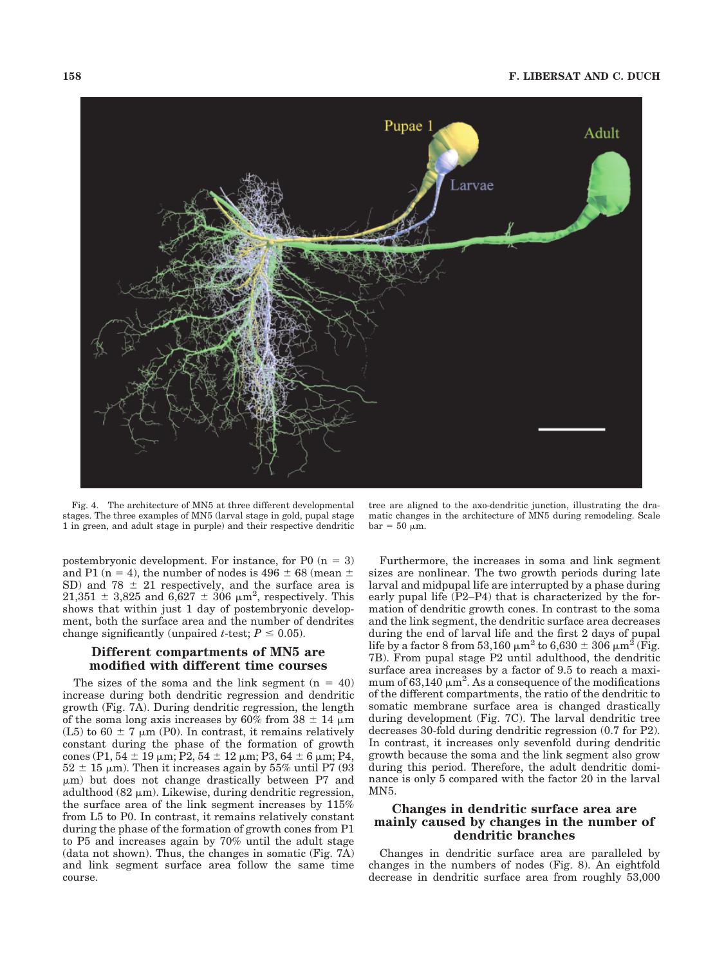

Fig. 4. The architecture of MN5 at three different developmental stages. The three examples of MN5 (larval stage in gold, pupal stage 1 in green, and adult stage in purple) and their respective dendritic

postembryonic development. For instance, for P0  $(n = 3)$ and P1 ( $n = 4$ ), the number of nodes is 496  $\pm$  68 (mean  $\pm$ SD) and 78  $\pm$  21 respectively, and the surface area is  $21,351 \pm 3,825$  and  $6,627 \pm 306$   $\mu$ m<sup>2</sup>, respectively. This shows that within just 1 day of postembryonic development, both the surface area and the number of dendrites change significantly (unpaired *t*-test;  $P \leq 0.05$ ).

# **Different compartments of MN5 are modified with different time courses**

The sizes of the soma and the link segment  $(n = 40)$ increase during both dendritic regression and dendritic growth (Fig. 7A). During dendritic regression, the length of the soma long axis increases by 60% from  $38 \pm 14 \mu m$ (L5) to 60  $\pm$  7  $\mu$ m (P0). In contrast, it remains relatively constant during the phase of the formation of growth cones (P1,  $54 \pm 19$  µm; P2,  $54 \pm 12$  µm; P3,  $64 \pm 6$  µm; P4,  $52 \pm 15$  µm). Then it increases again by 55% until P7 (93)  $\mu$ m) but does not change drastically between P7 and adulthood  $(82 \mu m)$ . Likewise, during dendritic regression, the surface area of the link segment increases by 115% from L5 to P0. In contrast, it remains relatively constant during the phase of the formation of growth cones from P1 to P5 and increases again by 70% until the adult stage (data not shown). Thus, the changes in somatic (Fig. 7A) and link segment surface area follow the same time course.

tree are aligned to the axo-dendritic junction, illustrating the dramatic changes in the architecture of MN5 during remodeling. Scale  $bar = 50 \mu m$ .

Furthermore, the increases in soma and link segment sizes are nonlinear. The two growth periods during late larval and midpupal life are interrupted by a phase during early pupal life (P2–P4) that is characterized by the formation of dendritic growth cones. In contrast to the soma and the link segment, the dendritic surface area decreases during the end of larval life and the first 2 days of pupal life by a factor 8 from 53,160  $\mu$ m<sup>2</sup> to 6,630  $\pm$  306  $\mu$ m<sup>2</sup> (Fig. 7B). From pupal stage P2 until adulthood, the dendritic surface area increases by a factor of 9.5 to reach a maximum of 63,140  $\mu$ m<sup>2</sup>. As a consequence of the modifications of the different compartments, the ratio of the dendritic to somatic membrane surface area is changed drastically during development (Fig. 7C). The larval dendritic tree decreases 30-fold during dendritic regression (0.7 for P2). In contrast, it increases only sevenfold during dendritic growth because the soma and the link segment also grow during this period. Therefore, the adult dendritic dominance is only 5 compared with the factor 20 in the larval MN5.

# **Changes in dendritic surface area are mainly caused by changes in the number of dendritic branches**

Changes in dendritic surface area are paralleled by changes in the numbers of nodes (Fig. 8). An eightfold decrease in dendritic surface area from roughly 53,000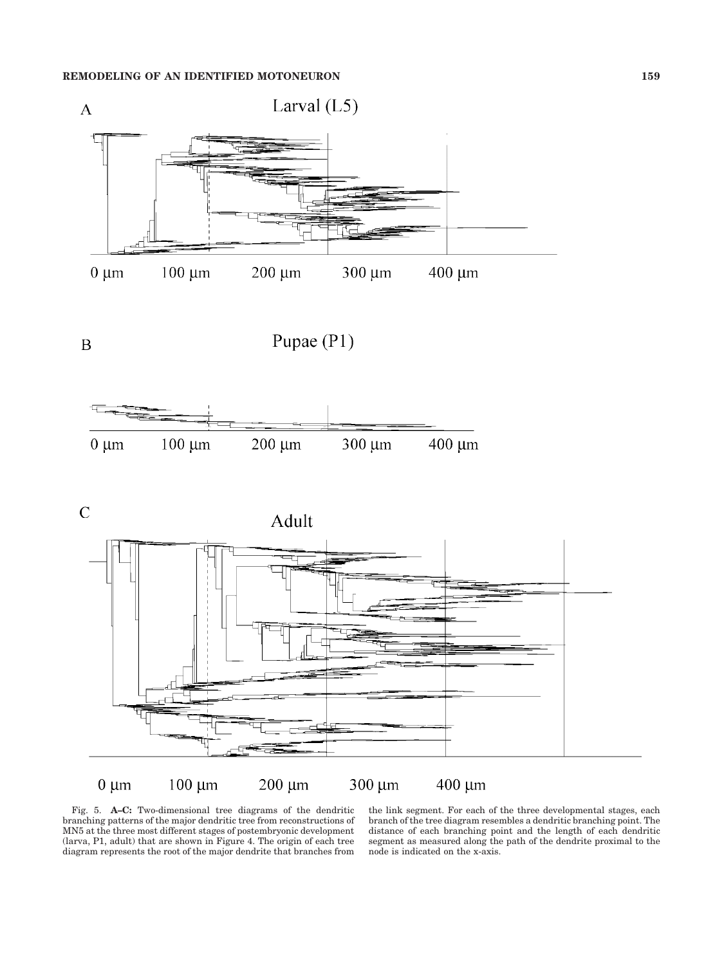

 $\boldsymbol{B}$ 

Pupae (P1)



 $\overline{C}$ 

Adult





Fig. 5. **A–C:** Two-dimensional tree diagrams of the dendritic branching patterns of the major dendritic tree from reconstructions of MN5 at the three most different stages of postembryonic development (larva, P1, adult) that are shown in Figure 4. The origin of each tree diagram represents the root of the major dendrite that branches from

the link segment. For each of the three developmental stages, each branch of the tree diagram resembles a dendritic branching point. The distance of each branching point and the length of each dendritic segment as measured along the path of the dendrite proximal to the node is indicated on the x-axis.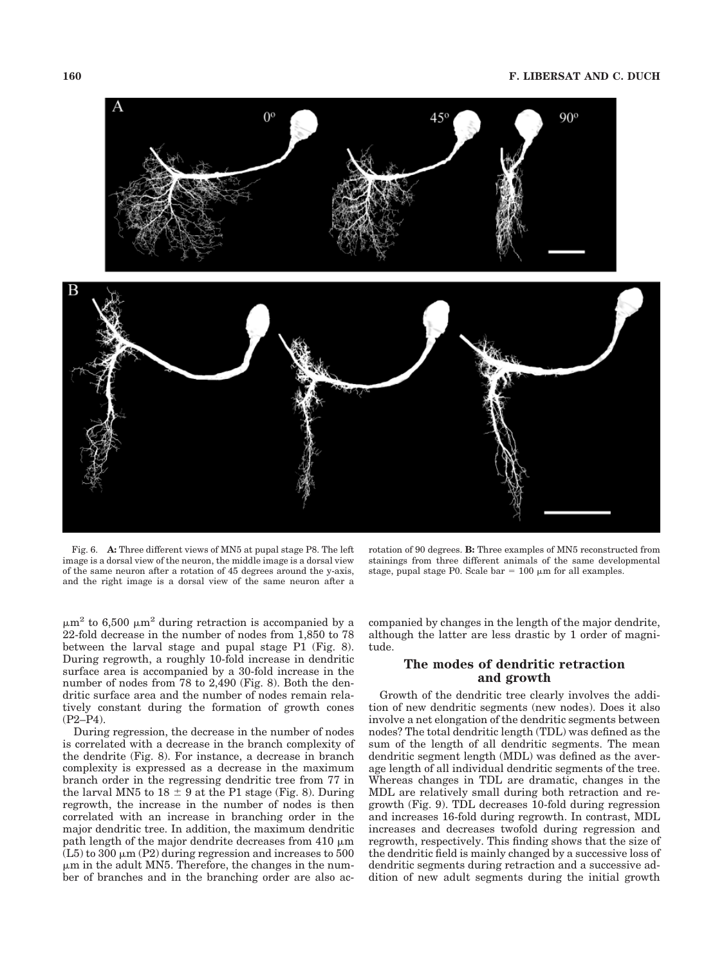

Fig. 6. **A:** Three different views of MN5 at pupal stage P8. The left image is a dorsal view of the neuron, the middle image is a dorsal view of the same neuron after a rotation of 45 degrees around the y-axis, and the right image is a dorsal view of the same neuron after a

rotation of 90 degrees. **B:** Three examples of MN5 reconstructed from stainings from three different animals of the same developmental stage, pupal stage P0. Scale bar =  $100 \mu m$  for all examples.

 $\mu$ m<sup>2</sup> to 6,500  $\mu$ m<sup>2</sup> during retraction is accompanied by a 22-fold decrease in the number of nodes from 1,850 to 78 between the larval stage and pupal stage P1 (Fig. 8). During regrowth, a roughly 10-fold increase in dendritic surface area is accompanied by a 30-fold increase in the number of nodes from 78 to 2,490 (Fig. 8). Both the dendritic surface area and the number of nodes remain relatively constant during the formation of growth cones (P2–P4).

During regression, the decrease in the number of nodes is correlated with a decrease in the branch complexity of the dendrite (Fig. 8). For instance, a decrease in branch complexity is expressed as a decrease in the maximum branch order in the regressing dendritic tree from 77 in the larval MN5 to  $18 \pm 9$  at the P1 stage (Fig. 8). During regrowth, the increase in the number of nodes is then correlated with an increase in branching order in the major dendritic tree. In addition, the maximum dendritic path length of the major dendrite decreases from  $410 \mu m$  $(L5)$  to 300  $\mu$ m (P2) during regression and increases to 500  $\mu$ m in the adult MN5. Therefore, the changes in the number of branches and in the branching order are also accompanied by changes in the length of the major dendrite, although the latter are less drastic by 1 order of magnitude.

# **The modes of dendritic retraction and growth**

Growth of the dendritic tree clearly involves the addition of new dendritic segments (new nodes). Does it also involve a net elongation of the dendritic segments between nodes? The total dendritic length (TDL) was defined as the sum of the length of all dendritic segments. The mean dendritic segment length (MDL) was defined as the average length of all individual dendritic segments of the tree. Whereas changes in TDL are dramatic, changes in the MDL are relatively small during both retraction and regrowth (Fig. 9). TDL decreases 10-fold during regression and increases 16-fold during regrowth. In contrast, MDL increases and decreases twofold during regression and regrowth, respectively. This finding shows that the size of the dendritic field is mainly changed by a successive loss of dendritic segments during retraction and a successive addition of new adult segments during the initial growth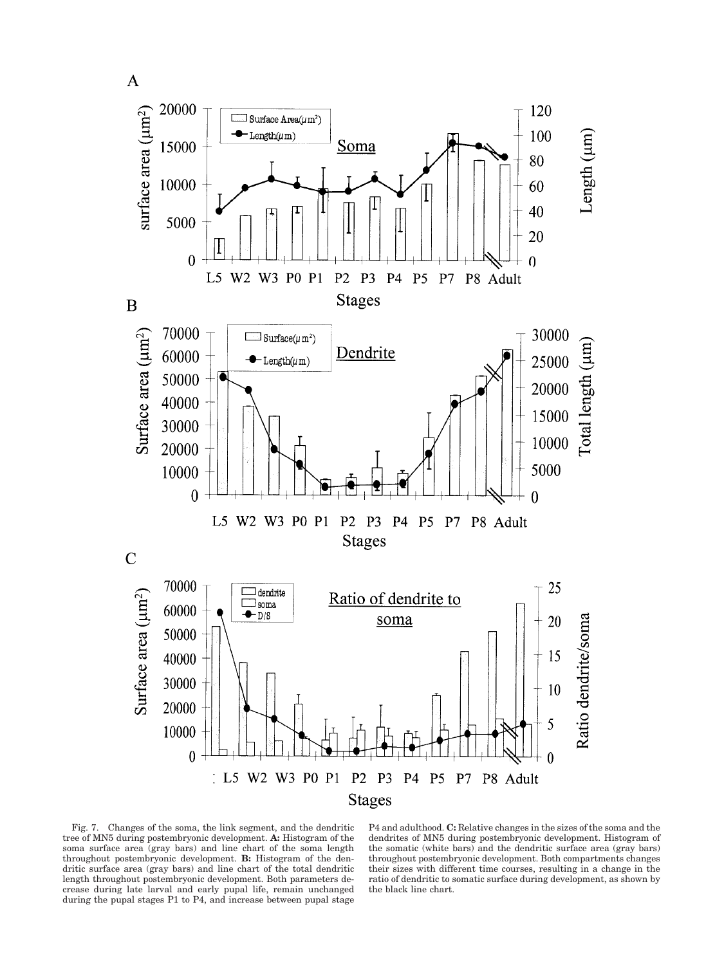

Fig. 7. Changes of the soma, the link segment, and the dendritic tree of MN5 during postembryonic development. **A:** Histogram of the soma surface area (gray bars) and line chart of the soma length throughout postembryonic development. **B:** Histogram of the dendritic surface area (gray bars) and line chart of the total dendritic length throughout postembryonic development. Both parameters decrease during late larval and early pupal life, remain unchanged during the pupal stages P1 to P4, and increase between pupal stage

P4 and adulthood. **C:** Relative changes in the sizes of the soma and the dendrites of MN5 during postembryonic development. Histogram of the somatic (white bars) and the dendritic surface area (gray bars) throughout postembryonic development. Both compartments changes their sizes with different time courses, resulting in a change in the ratio of dendritic to somatic surface during development, as shown by the black line chart.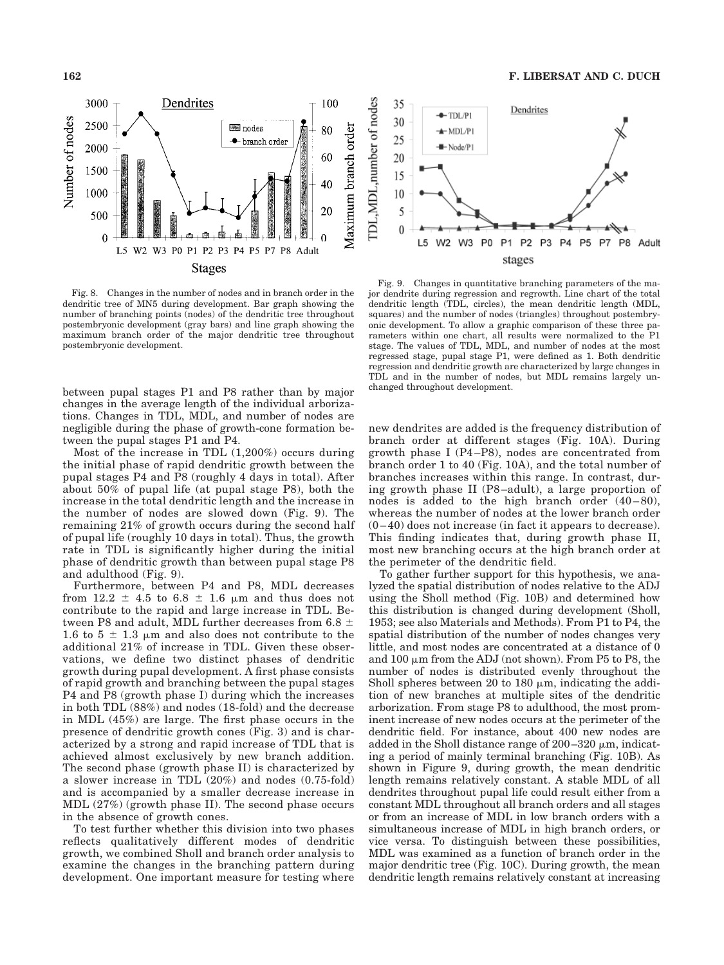

Fig. 8. Changes in the number of nodes and in branch order in the dendritic tree of MN5 during development. Bar graph showing the number of branching points (nodes) of the dendritic tree throughout postembryonic development (gray bars) and line graph showing the maximum branch order of the major dendritic tree throughout postembryonic development.

between pupal stages P1 and P8 rather than by major changes in the average length of the individual arborizations. Changes in TDL, MDL, and number of nodes are negligible during the phase of growth-cone formation between the pupal stages P1 and P4.

Most of the increase in TDL (1,200%) occurs during the initial phase of rapid dendritic growth between the pupal stages P4 and P8 (roughly 4 days in total). After about 50% of pupal life (at pupal stage P8), both the increase in the total dendritic length and the increase in the number of nodes are slowed down (Fig. 9). The remaining 21% of growth occurs during the second half of pupal life (roughly 10 days in total). Thus, the growth rate in TDL is significantly higher during the initial phase of dendritic growth than between pupal stage P8 and adulthood (Fig. 9).

Furthermore, between P4 and P8, MDL decreases from  $12.2 \pm 4.5$  to  $6.8 \pm 1.6$  µm and thus does not contribute to the rapid and large increase in TDL. Between P8 and adult, MDL further decreases from 6.8  $\pm$ 1.6 to 5  $\pm$  1.3 µm and also does not contribute to the additional 21% of increase in TDL. Given these observations, we define two distinct phases of dendritic growth during pupal development. A first phase consists of rapid growth and branching between the pupal stages P4 and P8 (growth phase I) during which the increases in both TDL (88%) and nodes (18-fold) and the decrease in MDL (45%) are large. The first phase occurs in the presence of dendritic growth cones (Fig. 3) and is characterized by a strong and rapid increase of TDL that is achieved almost exclusively by new branch addition. The second phase (growth phase II) is characterized by a slower increase in TDL (20%) and nodes (0.75-fold) and is accompanied by a smaller decrease increase in MDL (27%) (growth phase II). The second phase occurs in the absence of growth cones.

To test further whether this division into two phases reflects qualitatively different modes of dendritic growth, we combined Sholl and branch order analysis to examine the changes in the branching pattern during development. One important measure for testing where



Fig. 9. Changes in quantitative branching parameters of the major dendrite during regression and regrowth. Line chart of the total dendritic length (TDL, circles), the mean dendritic length (MDL, squares) and the number of nodes (triangles) throughout postembryonic development. To allow a graphic comparison of these three parameters within one chart, all results were normalized to the P1 stage. The values of TDL, MDL, and number of nodes at the most regressed stage, pupal stage P1, were defined as 1. Both dendritic regression and dendritic growth are characterized by large changes in TDL and in the number of nodes, but MDL remains largely unchanged throughout development.

new dendrites are added is the frequency distribution of branch order at different stages (Fig. 10A). During growth phase I (P4 –P8), nodes are concentrated from branch order 1 to 40 (Fig. 10A), and the total number of branches increases within this range. In contrast, during growth phase II (P8 –adult), a large proportion of nodes is added to the high branch order  $(40-80)$ , whereas the number of nodes at the lower branch order  $(0-40)$  does not increase (in fact it appears to decrease). This finding indicates that, during growth phase II, most new branching occurs at the high branch order at the perimeter of the dendritic field.

To gather further support for this hypothesis, we analyzed the spatial distribution of nodes relative to the ADJ using the Sholl method (Fig. 10B) and determined how this distribution is changed during development (Sholl, 1953; see also Materials and Methods). From P1 to P4, the spatial distribution of the number of nodes changes very little, and most nodes are concentrated at a distance of 0 and 100  $\mu$ m from the ADJ (not shown). From P5 to P8, the number of nodes is distributed evenly throughout the Sholl spheres between 20 to 180  $\mu$ m, indicating the addition of new branches at multiple sites of the dendritic arborization. From stage P8 to adulthood, the most prominent increase of new nodes occurs at the perimeter of the dendritic field. For instance, about 400 new nodes are added in the Sholl distance range of  $200-320 \mu m$ , indicating a period of mainly terminal branching (Fig. 10B). As shown in Figure 9, during growth, the mean dendritic length remains relatively constant. A stable MDL of all dendrites throughout pupal life could result either from a constant MDL throughout all branch orders and all stages or from an increase of MDL in low branch orders with a simultaneous increase of MDL in high branch orders, or vice versa. To distinguish between these possibilities, MDL was examined as a function of branch order in the major dendritic tree (Fig. 10C). During growth, the mean dendritic length remains relatively constant at increasing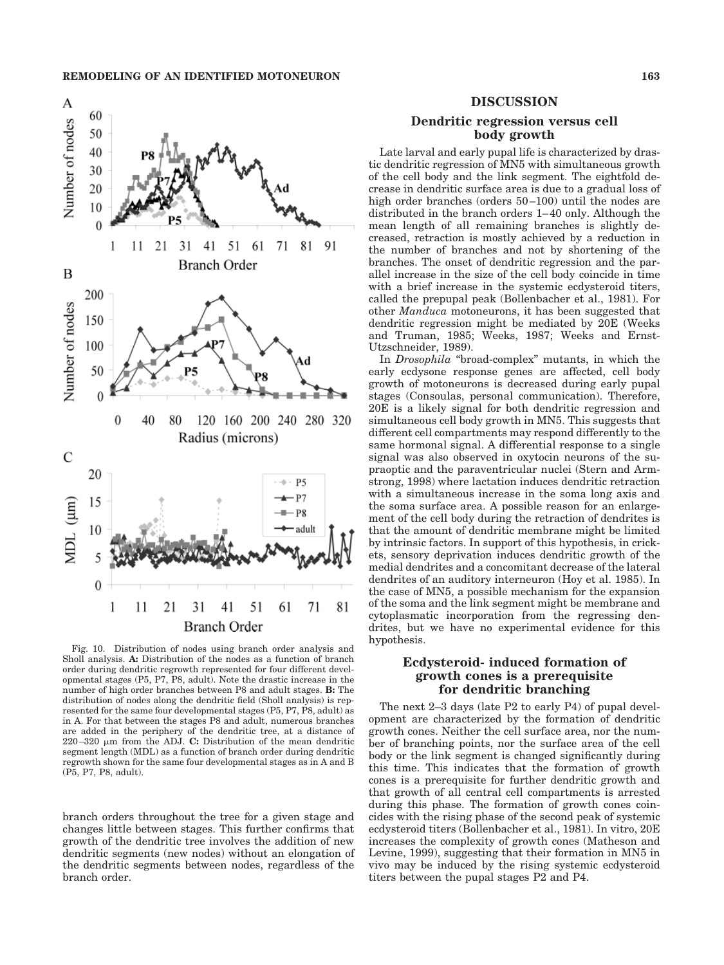

Fig. 10. Distribution of nodes using branch order analysis and Sholl analysis. **A:** Distribution of the nodes as a function of branch order during dendritic regrowth represented for four different developmental stages (P5, P7, P8, adult). Note the drastic increase in the number of high order branches between P8 and adult stages. **B:** The distribution of nodes along the dendritic field (Sholl analysis) is represented for the same four developmental stages (P5, P7, P8, adult) as in A. For that between the stages P8 and adult, numerous branches are added in the periphery of the dendritic tree, at a distance of  $220-320$   $\mu$ m from the ADJ. C: Distribution of the mean dendritic segment length (MDL) as a function of branch order during dendritic regrowth shown for the same four developmental stages as in A and B (P5, P7, P8, adult).

branch orders throughout the tree for a given stage and changes little between stages. This further confirms that growth of the dendritic tree involves the addition of new dendritic segments (new nodes) without an elongation of the dendritic segments between nodes, regardless of the branch order.

#### **DISCUSSION**

## **Dendritic regression versus cell body growth**

Late larval and early pupal life is characterized by drastic dendritic regression of MN5 with simultaneous growth of the cell body and the link segment. The eightfold decrease in dendritic surface area is due to a gradual loss of high order branches (orders 50–100) until the nodes are distributed in the branch orders 1–40 only. Although the mean length of all remaining branches is slightly decreased, retraction is mostly achieved by a reduction in the number of branches and not by shortening of the branches. The onset of dendritic regression and the parallel increase in the size of the cell body coincide in time with a brief increase in the systemic ecdysteroid titers, called the prepupal peak (Bollenbacher et al., 1981). For other *Manduca* motoneurons, it has been suggested that dendritic regression might be mediated by 20E (Weeks and Truman, 1985; Weeks, 1987; Weeks and Ernst-Utzschneider, 1989).

In *Drosophila* "broad-complex" mutants, in which the early ecdysone response genes are affected, cell body growth of motoneurons is decreased during early pupal stages (Consoulas, personal communication). Therefore, 20E is a likely signal for both dendritic regression and simultaneous cell body growth in MN5. This suggests that different cell compartments may respond differently to the same hormonal signal. A differential response to a single signal was also observed in oxytocin neurons of the supraoptic and the paraventricular nuclei (Stern and Armstrong, 1998) where lactation induces dendritic retraction with a simultaneous increase in the soma long axis and the soma surface area. A possible reason for an enlargement of the cell body during the retraction of dendrites is that the amount of dendritic membrane might be limited by intrinsic factors. In support of this hypothesis, in crickets, sensory deprivation induces dendritic growth of the medial dendrites and a concomitant decrease of the lateral dendrites of an auditory interneuron (Hoy et al. 1985). In the case of MN5, a possible mechanism for the expansion of the soma and the link segment might be membrane and cytoplasmatic incorporation from the regressing dendrites, but we have no experimental evidence for this hypothesis.

# **Ecdysteroid- induced formation of growth cones is a prerequisite for dendritic branching**

The next 2–3 days (late P2 to early P4) of pupal development are characterized by the formation of dendritic growth cones. Neither the cell surface area, nor the number of branching points, nor the surface area of the cell body or the link segment is changed significantly during this time. This indicates that the formation of growth cones is a prerequisite for further dendritic growth and that growth of all central cell compartments is arrested during this phase. The formation of growth cones coincides with the rising phase of the second peak of systemic ecdysteroid titers (Bollenbacher et al., 1981). In vitro, 20E increases the complexity of growth cones (Matheson and Levine, 1999), suggesting that their formation in MN5 in vivo may be induced by the rising systemic ecdysteroid titers between the pupal stages P2 and P4.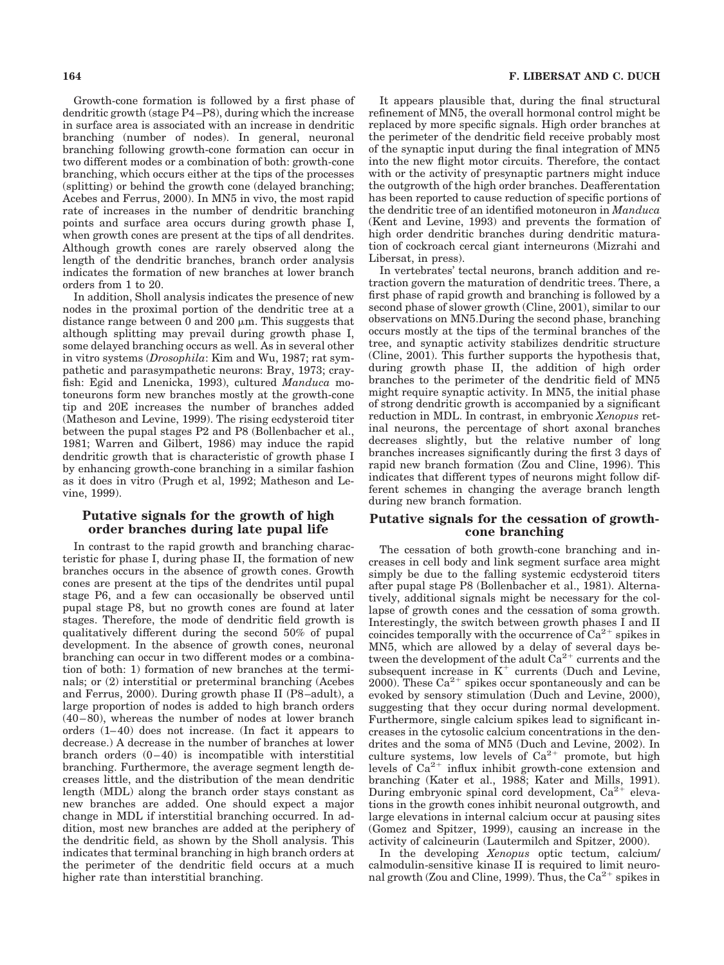Growth-cone formation is followed by a first phase of dendritic growth (stage P4–P8), during which the increase in surface area is associated with an increase in dendritic branching (number of nodes). In general, neuronal branching following growth-cone formation can occur in two different modes or a combination of both: growth-cone branching, which occurs either at the tips of the processes (splitting) or behind the growth cone (delayed branching; Acebes and Ferrus, 2000). In MN5 in vivo, the most rapid rate of increases in the number of dendritic branching points and surface area occurs during growth phase I, when growth cones are present at the tips of all dendrites. Although growth cones are rarely observed along the length of the dendritic branches, branch order analysis indicates the formation of new branches at lower branch orders from 1 to 20.

In addition, Sholl analysis indicates the presence of new nodes in the proximal portion of the dendritic tree at a distance range between 0 and 200  $\mu$ m. This suggests that although splitting may prevail during growth phase I, some delayed branching occurs as well. As in several other in vitro systems (*Drosophila*: Kim and Wu, 1987; rat sympathetic and parasympathetic neurons: Bray, 1973; crayfish: Egid and Lnenicka, 1993), cultured *Manduca* motoneurons form new branches mostly at the growth-cone tip and 20E increases the number of branches added (Matheson and Levine, 1999). The rising ecdysteroid titer between the pupal stages P2 and P8 (Bollenbacher et al., 1981; Warren and Gilbert, 1986) may induce the rapid dendritic growth that is characteristic of growth phase I by enhancing growth-cone branching in a similar fashion as it does in vitro (Prugh et al, 1992; Matheson and Levine, 1999).

# **Putative signals for the growth of high order branches during late pupal life**

In contrast to the rapid growth and branching characteristic for phase I, during phase II, the formation of new branches occurs in the absence of growth cones. Growth cones are present at the tips of the dendrites until pupal stage P6, and a few can occasionally be observed until pupal stage P8, but no growth cones are found at later stages. Therefore, the mode of dendritic field growth is qualitatively different during the second 50% of pupal development. In the absence of growth cones, neuronal branching can occur in two different modes or a combination of both: 1) formation of new branches at the terminals; or (2) interstitial or preterminal branching (Acebes and Ferrus, 2000). During growth phase II (P8–adult), a large proportion of nodes is added to high branch orders (40–80), whereas the number of nodes at lower branch orders (1–40) does not increase. (In fact it appears to decrease.) A decrease in the number of branches at lower branch orders (0–40) is incompatible with interstitial branching. Furthermore, the average segment length decreases little, and the distribution of the mean dendritic length (MDL) along the branch order stays constant as new branches are added. One should expect a major change in MDL if interstitial branching occurred. In addition, most new branches are added at the periphery of the dendritic field, as shown by the Sholl analysis. This indicates that terminal branching in high branch orders at the perimeter of the dendritic field occurs at a much higher rate than interstitial branching.

It appears plausible that, during the final structural refinement of MN5, the overall hormonal control might be replaced by more specific signals. High order branches at the perimeter of the dendritic field receive probably most of the synaptic input during the final integration of MN5 into the new flight motor circuits. Therefore, the contact with or the activity of presynaptic partners might induce the outgrowth of the high order branches. Deafferentation has been reported to cause reduction of specific portions of the dendritic tree of an identified motoneuron in *Manduca* (Kent and Levine, 1993) and prevents the formation of high order dendritic branches during dendritic maturation of cockroach cercal giant interneurons (Mizrahi and Libersat, in press).

In vertebrates' tectal neurons, branch addition and retraction govern the maturation of dendritic trees. There, a first phase of rapid growth and branching is followed by a second phase of slower growth (Cline, 2001), similar to our observations on MN5.During the second phase, branching occurs mostly at the tips of the terminal branches of the tree, and synaptic activity stabilizes dendritic structure (Cline, 2001). This further supports the hypothesis that, during growth phase II, the addition of high order branches to the perimeter of the dendritic field of MN5 might require synaptic activity. In MN5, the initial phase of strong dendritic growth is accompanied by a significant reduction in MDL. In contrast, in embryonic *Xenopus* retinal neurons, the percentage of short axonal branches decreases slightly, but the relative number of long branches increases significantly during the first 3 days of rapid new branch formation (Zou and Cline, 1996). This indicates that different types of neurons might follow different schemes in changing the average branch length during new branch formation.

#### **Putative signals for the cessation of growthcone branching**

The cessation of both growth-cone branching and increases in cell body and link segment surface area might simply be due to the falling systemic ecdysteroid titers after pupal stage P8 (Bollenbacher et al., 1981). Alternatively, additional signals might be necessary for the collapse of growth cones and the cessation of soma growth. Interestingly, the switch between growth phases I and II coincides temporally with the occurrence of  $Ca^{2+}$  spikes in MN5, which are allowed by a delay of several days between the development of the adult  $Ca^{2+}$  currents and the subsequent increase in  $K^+$  currents (Duch and Levine, 2000). These  $Ca^{2+}$  spikes occur spontaneously and can be evoked by sensory stimulation (Duch and Levine, 2000), suggesting that they occur during normal development. Furthermore, single calcium spikes lead to significant increases in the cytosolic calcium concentrations in the dendrites and the soma of MN5 (Duch and Levine, 2002). In culture systems, low levels of  $Ca^{2+}$  promote, but high levels of  $Ca^{2+}$  influx inhibit growth-cone extension and branching (Kater et al., 1988; Kater and Mills, 1991). During embryonic spinal cord development,  $Ca^{2+}$  elevations in the growth cones inhibit neuronal outgrowth, and large elevations in internal calcium occur at pausing sites (Gomez and Spitzer, 1999), causing an increase in the activity of calcineurin (Lautermilch and Spitzer, 2000).

In the developing *Xenopus* optic tectum, calcium/ calmodulin-sensitive kinase II is required to limit neuronal growth (Zou and Cline, 1999). Thus, the  $Ca^{2+}$  spikes in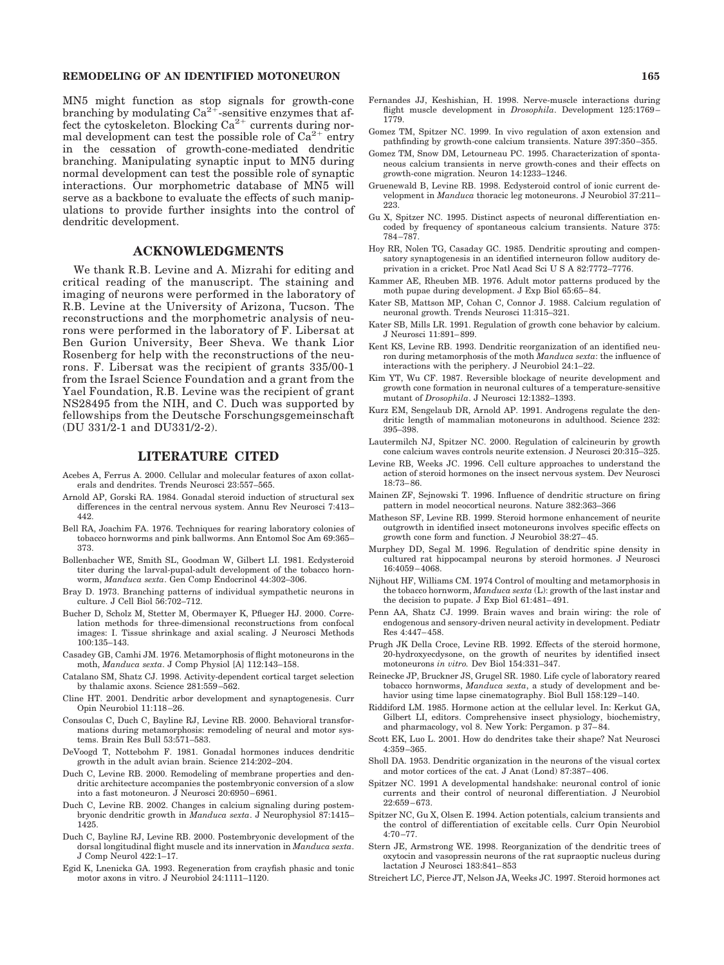#### **REMODELING OF AN IDENTIFIED MOTONEURON 165**

MN5 might function as stop signals for growth-cone branching by modulating  $Ca^{2+}$ -sensitive enzymes that affect the cytoskeleton. Blocking  $Ca^{2+}$  currents during normal development can test the possible role of  $Ca^{2+}$  entry in the cessation of growth-cone-mediated dendritic branching. Manipulating synaptic input to MN5 during normal development can test the possible role of synaptic interactions. Our morphometric database of MN5 will serve as a backbone to evaluate the effects of such manipulations to provide further insights into the control of dendritic development.

# **ACKNOWLEDGMENTS**

We thank R.B. Levine and A. Mizrahi for editing and critical reading of the manuscript. The staining and imaging of neurons were performed in the laboratory of R.B. Levine at the University of Arizona, Tucson. The reconstructions and the morphometric analysis of neurons were performed in the laboratory of F. Libersat at Ben Gurion University, Beer Sheva. We thank Lior Rosenberg for help with the reconstructions of the neurons. F. Libersat was the recipient of grants 335/00-1 from the Israel Science Foundation and a grant from the Yael Foundation, R.B. Levine was the recipient of grant NS28495 from the NIH, and C. Duch was supported by fellowships from the Deutsche Forschungsgemeinschaft (DU 331/2-1 and DU331/2-2).

# **LITERATURE CITED**

- Acebes A, Ferrus A. 2000. Cellular and molecular features of axon collaterals and dendrites. Trends Neurosci 23:557–565.
- Arnold AP, Gorski RA. 1984. Gonadal steroid induction of structural sex differences in the central nervous system. Annu Rev Neurosci 7:413– 442.
- Bell RA, Joachim FA. 1976. Techniques for rearing laboratory colonies of tobacco hornworms and pink ballworms. Ann Entomol Soc Am 69:365– 373.
- Bollenbacher WE, Smith SL, Goodman W, Gilbert LI. 1981. Ecdysteroid titer during the larval-pupal-adult development of the tobacco hornworm, *Manduca sexta*. Gen Comp Endocrinol 44:302–306.
- Bray D. 1973. Branching patterns of individual sympathetic neurons in culture. J Cell Biol 56:702–712.
- Bucher D, Scholz M, Stetter M, Obermayer K, Pflueger HJ. 2000. Correlation methods for three-dimensional reconstructions from confocal images: I. Tissue shrinkage and axial scaling. J Neurosci Methods 100:135–143.
- Casadey GB, Camhi JM. 1976. Metamorphosis of flight motoneurons in the moth, *Manduca sexta*. J Comp Physiol [A] 112:143–158.
- Catalano SM, Shatz CJ. 1998. Activity-dependent cortical target selection by thalamic axons. Science 281:559–562.
- Cline HT. 2001. Dendritic arbor development and synaptogenesis. Curr Opin Neurobiol 11:118–26.
- Consoulas C, Duch C, Bayline RJ, Levine RB. 2000. Behavioral transformations during metamorphosis: remodeling of neural and motor systems. Brain Res Bull 53:571–583.
- DeVoogd T, Nottebohm F. 1981. Gonadal hormones induces dendritic growth in the adult avian brain. Science 214:202–204.
- Duch C, Levine RB. 2000. Remodeling of membrane properties and dendritic architecture accompanies the postembryonic conversion of a slow into a fast motoneuron. J Neurosci 20:6950–6961.
- Duch C, Levine RB. 2002. Changes in calcium signaling during postembryonic dendritic growth in *Manduca sexta*. J Neurophysiol 87:1415– 1425.
- Duch C, Bayline RJ, Levine RB. 2000. Postembryonic development of the dorsal longitudinal flight muscle and its innervation in *Manduca sexta*. J Comp Neurol 422:1–17.
- Egid K, Lnenicka GA. 1993. Regeneration from crayfish phasic and tonic motor axons in vitro. J Neurobiol 24:1111–1120.
- Fernandes JJ, Keshishian, H. 1998. Nerve-muscle interactions during flight muscle development in *Drosophila*. Development 125:1769– 1779.
- Gomez TM, Spitzer NC. 1999. In vivo regulation of axon extension and pathfinding by growth-cone calcium transients. Nature 397:350–355.
- Gomez TM, Snow DM, Letourneau PC. 1995. Characterization of spontaneous calcium transients in nerve growth-cones and their effects on growth-cone migration. Neuron 14:1233–1246.
- Gruenewald B, Levine RB. 1998. Ecdysteroid control of ionic current development in *Manduca* thoracic leg motoneurons. J Neurobiol 37:211– 223.
- Gu X, Spitzer NC. 1995. Distinct aspects of neuronal differentiation encoded by frequency of spontaneous calcium transients. Nature 375: 784–787.
- Hoy RR, Nolen TG, Casaday GC. 1985. Dendritic sprouting and compensatory synaptogenesis in an identified interneuron follow auditory deprivation in a cricket. Proc Natl Acad Sci U S A 82:7772–7776
- Kammer AE, Rheuben MB. 1976. Adult motor patterns produced by the moth pupae during development. J Exp Biol 65:65–84.
- Kater SB, Mattson MP, Cohan C, Connor J. 1988. Calcium regulation of neuronal growth. Trends Neurosci 11:315–321.
- Kater SB, Mills LR. 1991. Regulation of growth cone behavior by calcium. J Neurosci 11:891–899.
- Kent KS, Levine RB. 1993. Dendritic reorganization of an identified neuron during metamorphosis of the moth *Manduca sexta*: the influence of interactions with the periphery. J Neurobiol 24:1–22.
- Kim YT, Wu CF. 1987. Reversible blockage of neurite development and growth cone formation in neuronal cultures of a temperature-sensitive mutant of *Drosophila*. J Neurosci 12:1382–1393.
- Kurz EM, Sengelaub DR, Arnold AP. 1991. Androgens regulate the dendritic length of mammalian motoneurons in adulthood. Science 232: 395–398.
- Lautermilch NJ, Spitzer NC. 2000. Regulation of calcineurin by growth cone calcium waves controls neurite extension. J Neurosci 20:315–325.
- Levine RB, Weeks JC. 1996. Cell culture approaches to understand the action of steroid hormones on the insect nervous system. Dev Neurosci 18:73–86.
- Mainen ZF, Sejnowski T. 1996. Influence of dendritic structure on firing pattern in model neocortical neurons. Nature 382:363–366
- Matheson SF, Levine RB. 1999. Steroid hormone enhancement of neurite outgrowth in identified insect motoneurons involves specific effects on growth cone form and function. J Neurobiol 38:27–45.
- Murphey DD, Segal M. 1996. Regulation of dendritic spine density in cultured rat hippocampal neurons by steroid hormones. J Neurosci 16:4059–4068.
- Nijhout HF, Williams CM. 1974 Control of moulting and metamorphosis in the tobacco hornworm, *Manduca sexta* (L): growth of the last instar and the decision to pupate. J Exp Biol 61:481–491.
- Penn AA, Shatz CJ. 1999. Brain waves and brain wiring: the role of endogenous and sensory-driven neural activity in development. Pediatr Res 4:447–458.
- Prugh JK Della Croce, Levine RB. 1992. Effects of the steroid hormone, 20-hydroxyecdysone, on the growth of neurites by identified insect motoneurons *in vitro.* Dev Biol 154:331–347.
- Reinecke JP, Bruckner JS, Grugel SR. 1980. Life cycle of laboratory reared tobacco hornworms, *Manduca sexta*, a study of development and behavior using time lapse cinematography. Biol Bull 158:129–140.
- Riddiford LM. 1985. Hormone action at the cellular level. In: Kerkut GA, Gilbert LI, editors. Comprehensive insect physiology, biochemistry, and pharmacology, vol 8. New York: Pergamon. p 37–84.
- Scott EK, Luo L. 2001. How do dendrites take their shape? Nat Neurosci 4:359–365.
- Sholl DA. 1953. Dendritic organization in the neurons of the visual cortex and motor cortices of the cat. J Anat (Lond) 87:387–406.
- Spitzer NC. 1991 A developmental handshake: neuronal control of ionic currents and their control of neuronal differentiation. J Neurobiol 22:659–673.
- Spitzer NC, Gu X, Olsen E. 1994. Action potentials, calcium transients and the control of differentiation of excitable cells. Curr Opin Neurobiol  $4.70 - 77$
- Stern JE, Armstrong WE. 1998. Reorganization of the dendritic trees of oxytocin and vasopressin neurons of the rat supraoptic nucleus during lactation J Neurosci 183:841–853
- Streichert LC, Pierce JT, Nelson JA, Weeks JC. 1997. Steroid hormones act